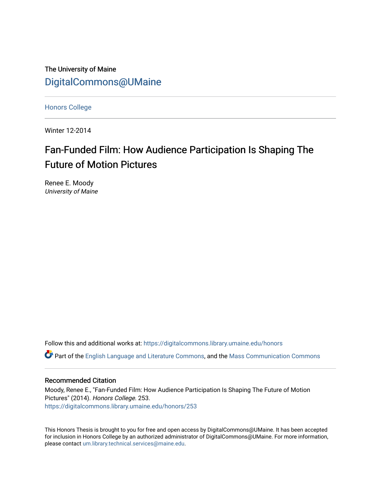The University of Maine [DigitalCommons@UMaine](https://digitalcommons.library.umaine.edu/)

[Honors College](https://digitalcommons.library.umaine.edu/honors)

Winter 12-2014

# Fan-Funded Film: How Audience Participation Is Shaping The Future of Motion Pictures

Renee E. Moody University of Maine

Follow this and additional works at: [https://digitalcommons.library.umaine.edu/honors](https://digitalcommons.library.umaine.edu/honors?utm_source=digitalcommons.library.umaine.edu%2Fhonors%2F253&utm_medium=PDF&utm_campaign=PDFCoverPages) 

Part of the [English Language and Literature Commons](http://network.bepress.com/hgg/discipline/455?utm_source=digitalcommons.library.umaine.edu%2Fhonors%2F253&utm_medium=PDF&utm_campaign=PDFCoverPages), and the [Mass Communication Commons](http://network.bepress.com/hgg/discipline/334?utm_source=digitalcommons.library.umaine.edu%2Fhonors%2F253&utm_medium=PDF&utm_campaign=PDFCoverPages) 

# Recommended Citation

Moody, Renee E., "Fan-Funded Film: How Audience Participation Is Shaping The Future of Motion Pictures" (2014). Honors College. 253. [https://digitalcommons.library.umaine.edu/honors/253](https://digitalcommons.library.umaine.edu/honors/253?utm_source=digitalcommons.library.umaine.edu%2Fhonors%2F253&utm_medium=PDF&utm_campaign=PDFCoverPages) 

This Honors Thesis is brought to you for free and open access by DigitalCommons@UMaine. It has been accepted for inclusion in Honors College by an authorized administrator of DigitalCommons@UMaine. For more information, please contact [um.library.technical.services@maine.edu.](mailto:um.library.technical.services@maine.edu)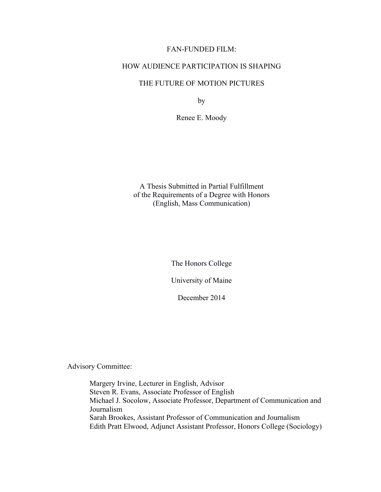# FAN-FUNDED FILM:

# HOW AUDIENCE PARTICIPATION IS SHAPING

# THE FUTURE OF MOTION PICTURES

by

Renee E. Moody

A Thesis Submitted in Partial Fulfillment of the Requirements of a Degree with Honors (English, Mass Communication)

The Honors College

University of Maine

December 2014

Advisory Committee:

Margery Irvine, Lecturer in English, Advisor Steven R. Evans, Associate Professor of English Michael J. Socolow, Associate Professor, Department of Communication and Journalism Sarah Brookes, Assistant Professor of Communication and Journalism Edith Pratt Elwood, Adjunct Assistant Professor, Honors College (Sociology)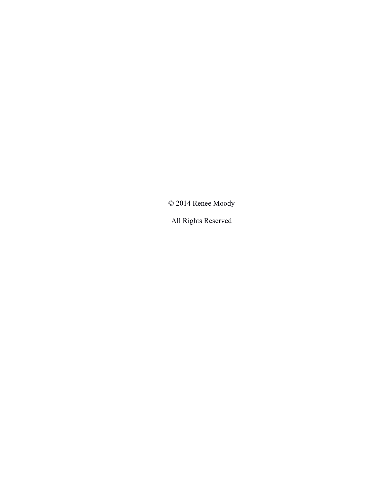© 2014 Renee Moody

All Rights Reserved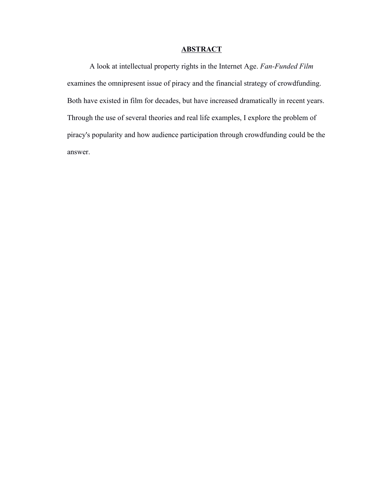# **ABSTRACT**

A look at intellectual property rights in the Internet Age. *Fan-Funded Film* examines the omnipresent issue of piracy and the financial strategy of crowdfunding. Both have existed in film for decades, but have increased dramatically in recent years. Through the use of several theories and real life examples, I explore the problem of piracy's popularity and how audience participation through crowdfunding could be the answer.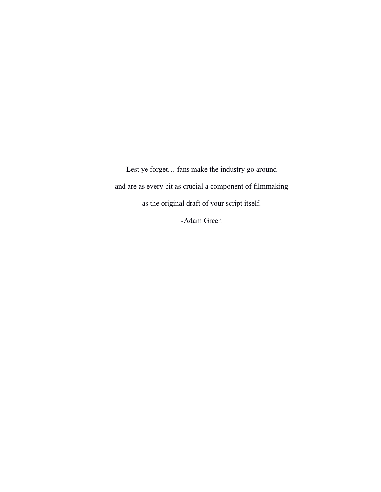Lest ye forget… fans make the industry go around and are as every bit as crucial a component of filmmaking as the original draft of your script itself. -Adam Green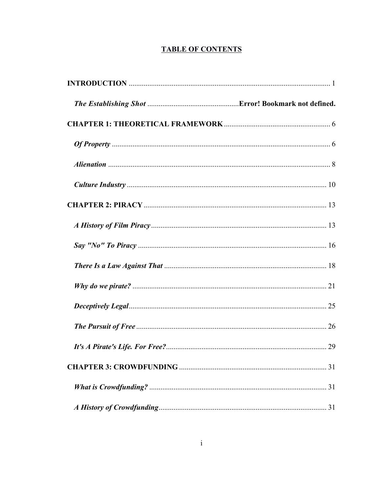# **TABLE OF CONTENTS**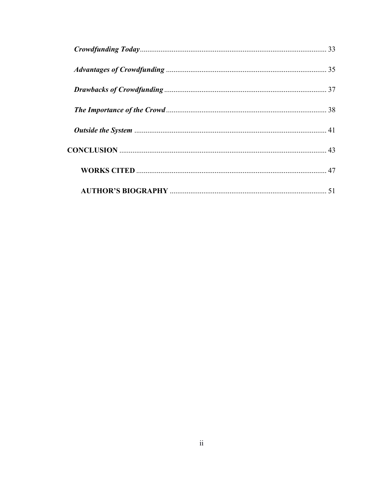| 51 |
|----|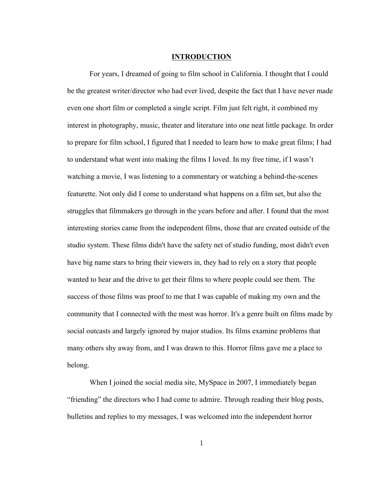#### **INTRODUCTION**

For years, I dreamed of going to film school in California. I thought that I could be the greatest writer/director who had ever lived, despite the fact that I have never made even one short film or completed a single script. Film just felt right, it combined my interest in photography, music, theater and literature into one neat little package. In order to prepare for film school, I figured that I needed to learn how to make great films; I had to understand what went into making the films I loved. In my free time, if I wasn't watching a movie, I was listening to a commentary or watching a behind-the-scenes featurette. Not only did I come to understand what happens on a film set, but also the struggles that filmmakers go through in the years before and after. I found that the most interesting stories came from the independent films, those that are created outside of the studio system. These films didn't have the safety net of studio funding, most didn't even have big name stars to bring their viewers in, they had to rely on a story that people wanted to hear and the drive to get their films to where people could see them. The success of those films was proof to me that I was capable of making my own and the community that I connected with the most was horror. It's a genre built on films made by social outcasts and largely ignored by major studios. Its films examine problems that many others shy away from, and I was drawn to this. Horror films gave me a place to belong.

When I joined the social media site, MySpace in 2007, I immediately began "friending" the directors who I had come to admire. Through reading their blog posts, bulletins and replies to my messages, I was welcomed into the independent horror

1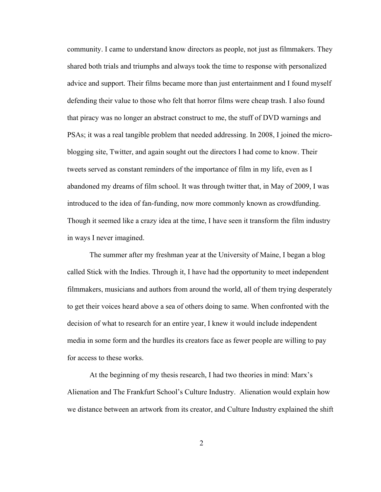community. I came to understand know directors as people, not just as filmmakers. They shared both trials and triumphs and always took the time to response with personalized advice and support. Their films became more than just entertainment and I found myself defending their value to those who felt that horror films were cheap trash. I also found that piracy was no longer an abstract construct to me, the stuff of DVD warnings and PSAs; it was a real tangible problem that needed addressing. In 2008, I joined the microblogging site, Twitter, and again sought out the directors I had come to know. Their tweets served as constant reminders of the importance of film in my life, even as I abandoned my dreams of film school. It was through twitter that, in May of 2009, I was introduced to the idea of fan-funding, now more commonly known as crowdfunding. Though it seemed like a crazy idea at the time, I have seen it transform the film industry in ways I never imagined.

The summer after my freshman year at the University of Maine, I began a blog called Stick with the Indies. Through it, I have had the opportunity to meet independent filmmakers, musicians and authors from around the world, all of them trying desperately to get their voices heard above a sea of others doing to same. When confronted with the decision of what to research for an entire year, I knew it would include independent media in some form and the hurdles its creators face as fewer people are willing to pay for access to these works.

At the beginning of my thesis research, I had two theories in mind: Marx's Alienation and The Frankfurt School's Culture Industry. Alienation would explain how we distance between an artwork from its creator, and Culture Industry explained the shift

2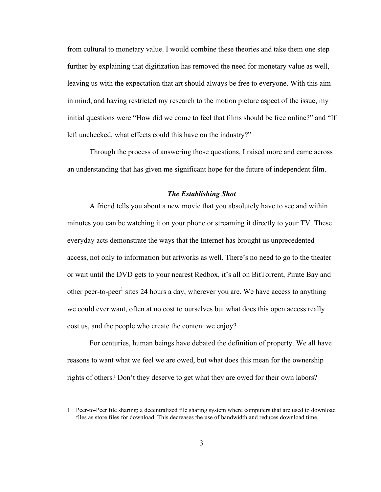from cultural to monetary value. I would combine these theories and take them one step further by explaining that digitization has removed the need for monetary value as well, leaving us with the expectation that art should always be free to everyone. With this aim in mind, and having restricted my research to the motion picture aspect of the issue, my initial questions were "How did we come to feel that films should be free online?" and "If left unchecked, what effects could this have on the industry?"

Through the process of answering those questions, I raised more and came across an understanding that has given me significant hope for the future of independent film.

#### *The Establishing Shot*

A friend tells you about a new movie that you absolutely have to see and within minutes you can be watching it on your phone or streaming it directly to your TV. These everyday acts demonstrate the ways that the Internet has brought us unprecedented access, not only to information but artworks as well. There's no need to go to the theater or wait until the DVD gets to your nearest Redbox, it's all on BitTorrent, Pirate Bay and other peer-to-peer<sup>1</sup> sites 24 hours a day, wherever you are. We have access to anything we could ever want, often at no cost to ourselves but what does this open access really cost us, and the people who create the content we enjoy?

For centuries, human beings have debated the definition of property. We all have reasons to want what we feel we are owed, but what does this mean for the ownership rights of others? Don't they deserve to get what they are owed for their own labors?

<sup>1</sup> Peer-to-Peer file sharing: a decentralized file sharing system where computers that are used to download files as store files for download. This decreases the use of bandwidth and reduces download time.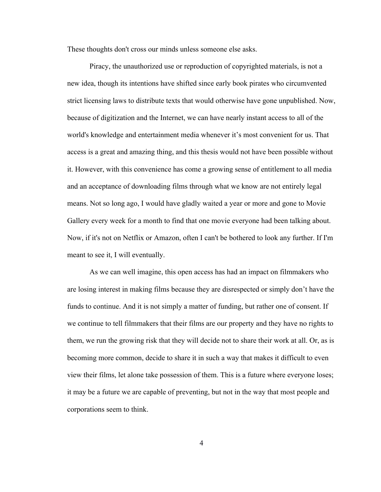These thoughts don't cross our minds unless someone else asks.

Piracy, the unauthorized use or reproduction of copyrighted materials, is not a new idea, though its intentions have shifted since early book pirates who circumvented strict licensing laws to distribute texts that would otherwise have gone unpublished. Now, because of digitization and the Internet, we can have nearly instant access to all of the world's knowledge and entertainment media whenever it's most convenient for us. That access is a great and amazing thing, and this thesis would not have been possible without it. However, with this convenience has come a growing sense of entitlement to all media and an acceptance of downloading films through what we know are not entirely legal means. Not so long ago, I would have gladly waited a year or more and gone to Movie Gallery every week for a month to find that one movie everyone had been talking about. Now, if it's not on Netflix or Amazon, often I can't be bothered to look any further. If I'm meant to see it, I will eventually.

As we can well imagine, this open access has had an impact on filmmakers who are losing interest in making films because they are disrespected or simply don't have the funds to continue. And it is not simply a matter of funding, but rather one of consent. If we continue to tell filmmakers that their films are our property and they have no rights to them, we run the growing risk that they will decide not to share their work at all. Or, as is becoming more common, decide to share it in such a way that makes it difficult to even view their films, let alone take possession of them. This is a future where everyone loses; it may be a future we are capable of preventing, but not in the way that most people and corporations seem to think.

4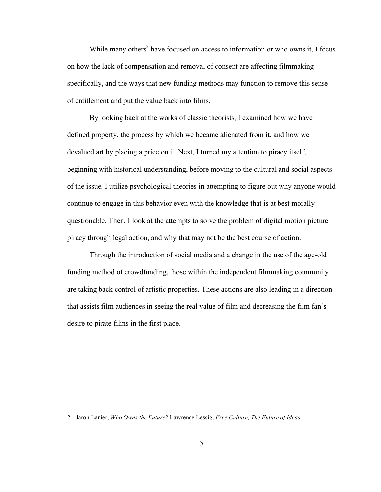While many others<sup>2</sup> have focused on access to information or who owns it, I focus on how the lack of compensation and removal of consent are affecting filmmaking specifically, and the ways that new funding methods may function to remove this sense of entitlement and put the value back into films.

By looking back at the works of classic theorists, I examined how we have defined property, the process by which we became alienated from it, and how we devalued art by placing a price on it. Next, I turned my attention to piracy itself; beginning with historical understanding, before moving to the cultural and social aspects of the issue. I utilize psychological theories in attempting to figure out why anyone would continue to engage in this behavior even with the knowledge that is at best morally questionable. Then, I look at the attempts to solve the problem of digital motion picture piracy through legal action, and why that may not be the best course of action.

Through the introduction of social media and a change in the use of the age-old funding method of crowdfunding, those within the independent filmmaking community are taking back control of artistic properties. These actions are also leading in a direction that assists film audiences in seeing the real value of film and decreasing the film fan's desire to pirate films in the first place.

2 Jaron Lanier; *Who Owns the Future?* Lawrence Lessig; *Free Culture, The Future of Ideas*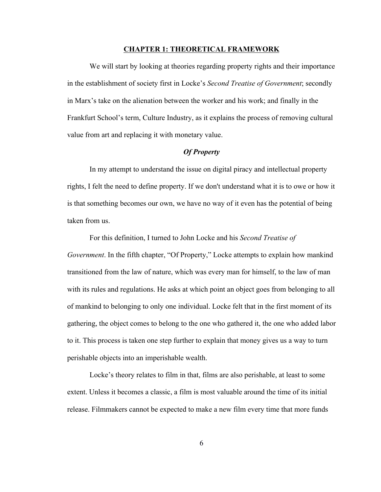#### **CHAPTER 1: THEORETICAL FRAMEWORK**

We will start by looking at theories regarding property rights and their importance in the establishment of society first in Locke's *Second Treatise of Government*; secondly in Marx's take on the alienation between the worker and his work; and finally in the Frankfurt School's term, Culture Industry, as it explains the process of removing cultural value from art and replacing it with monetary value.

# *Of Property*

In my attempt to understand the issue on digital piracy and intellectual property rights, I felt the need to define property. If we don't understand what it is to owe or how it is that something becomes our own, we have no way of it even has the potential of being taken from us.

For this definition, I turned to John Locke and his *Second Treatise of Government*. In the fifth chapter, "Of Property," Locke attempts to explain how mankind transitioned from the law of nature, which was every man for himself, to the law of man with its rules and regulations. He asks at which point an object goes from belonging to all of mankind to belonging to only one individual. Locke felt that in the first moment of its gathering, the object comes to belong to the one who gathered it, the one who added labor to it. This process is taken one step further to explain that money gives us a way to turn perishable objects into an imperishable wealth.

Locke's theory relates to film in that, films are also perishable, at least to some extent. Unless it becomes a classic, a film is most valuable around the time of its initial release. Filmmakers cannot be expected to make a new film every time that more funds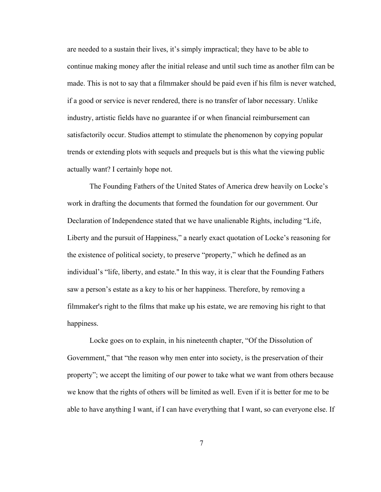are needed to a sustain their lives, it's simply impractical; they have to be able to continue making money after the initial release and until such time as another film can be made. This is not to say that a filmmaker should be paid even if his film is never watched, if a good or service is never rendered, there is no transfer of labor necessary. Unlike industry, artistic fields have no guarantee if or when financial reimbursement can satisfactorily occur. Studios attempt to stimulate the phenomenon by copying popular trends or extending plots with sequels and prequels but is this what the viewing public actually want? I certainly hope not.

The Founding Fathers of the United States of America drew heavily on Locke's work in drafting the documents that formed the foundation for our government. Our Declaration of Independence stated that we have unalienable Rights, including "Life, Liberty and the pursuit of Happiness," a nearly exact quotation of Locke's reasoning for the existence of political society, to preserve "property," which he defined as an individual's "life, liberty, and estate." In this way, it is clear that the Founding Fathers saw a person's estate as a key to his or her happiness. Therefore, by removing a filmmaker's right to the films that make up his estate, we are removing his right to that happiness.

Locke goes on to explain, in his nineteenth chapter, "Of the Dissolution of Government," that "the reason why men enter into society, is the preservation of their property"; we accept the limiting of our power to take what we want from others because we know that the rights of others will be limited as well. Even if it is better for me to be able to have anything I want, if I can have everything that I want, so can everyone else. If

7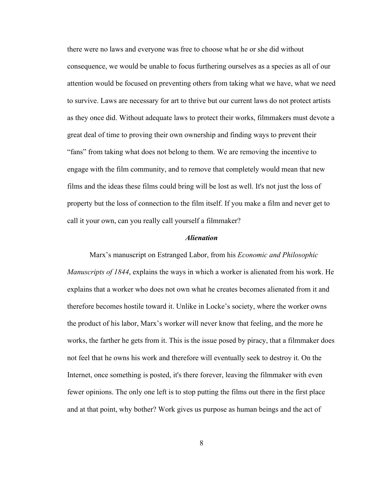there were no laws and everyone was free to choose what he or she did without consequence, we would be unable to focus furthering ourselves as a species as all of our attention would be focused on preventing others from taking what we have, what we need to survive. Laws are necessary for art to thrive but our current laws do not protect artists as they once did. Without adequate laws to protect their works, filmmakers must devote a great deal of time to proving their own ownership and finding ways to prevent their "fans" from taking what does not belong to them. We are removing the incentive to engage with the film community, and to remove that completely would mean that new films and the ideas these films could bring will be lost as well. It's not just the loss of property but the loss of connection to the film itself. If you make a film and never get to call it your own, can you really call yourself a filmmaker?

#### *Alienation*

Marx's manuscript on Estranged Labor, from his *Economic and Philosophic Manuscripts of 1844*, explains the ways in which a worker is alienated from his work. He explains that a worker who does not own what he creates becomes alienated from it and therefore becomes hostile toward it. Unlike in Locke's society, where the worker owns the product of his labor, Marx's worker will never know that feeling, and the more he works, the farther he gets from it. This is the issue posed by piracy, that a filmmaker does not feel that he owns his work and therefore will eventually seek to destroy it. On the Internet, once something is posted, it's there forever, leaving the filmmaker with even fewer opinions. The only one left is to stop putting the films out there in the first place and at that point, why bother? Work gives us purpose as human beings and the act of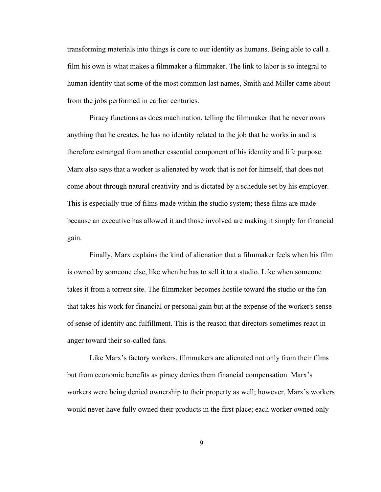transforming materials into things is core to our identity as humans. Being able to call a film his own is what makes a filmmaker a filmmaker. The link to labor is so integral to human identity that some of the most common last names, Smith and Miller came about from the jobs performed in earlier centuries.

Piracy functions as does machination, telling the filmmaker that he never owns anything that he creates, he has no identity related to the job that he works in and is therefore estranged from another essential component of his identity and life purpose. Marx also says that a worker is alienated by work that is not for himself, that does not come about through natural creativity and is dictated by a schedule set by his employer. This is especially true of films made within the studio system; these films are made because an executive has allowed it and those involved are making it simply for financial gain.

Finally, Marx explains the kind of alienation that a filmmaker feels when his film is owned by someone else, like when he has to sell it to a studio. Like when someone takes it from a torrent site. The filmmaker becomes hostile toward the studio or the fan that takes his work for financial or personal gain but at the expense of the worker's sense of sense of identity and fulfillment. This is the reason that directors sometimes react in anger toward their so-called fans.

Like Marx's factory workers, filmmakers are alienated not only from their films but from economic benefits as piracy denies them financial compensation. Marx's workers were being denied ownership to their property as well; however, Marx's workers would never have fully owned their products in the first place; each worker owned only

9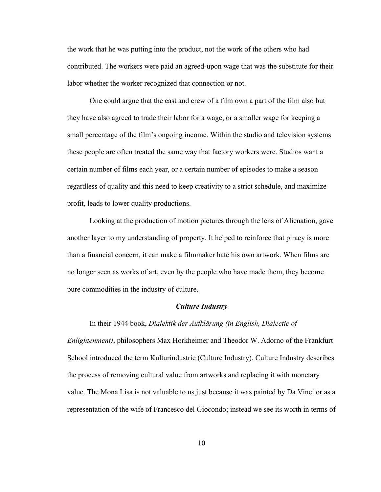the work that he was putting into the product, not the work of the others who had contributed. The workers were paid an agreed-upon wage that was the substitute for their labor whether the worker recognized that connection or not.

One could argue that the cast and crew of a film own a part of the film also but they have also agreed to trade their labor for a wage, or a smaller wage for keeping a small percentage of the film's ongoing income. Within the studio and television systems these people are often treated the same way that factory workers were. Studios want a certain number of films each year, or a certain number of episodes to make a season regardless of quality and this need to keep creativity to a strict schedule, and maximize profit, leads to lower quality productions.

Looking at the production of motion pictures through the lens of Alienation, gave another layer to my understanding of property. It helped to reinforce that piracy is more than a financial concern, it can make a filmmaker hate his own artwork. When films are no longer seen as works of art, even by the people who have made them, they become pure commodities in the industry of culture.

#### *Culture Industry*

In their 1944 book, *Dialektik der Aufklärung (in English, Dialectic of Enlightenment)*, philosophers Max Horkheimer and Theodor W. Adorno of the Frankfurt School introduced the term Kulturindustrie (Culture Industry). Culture Industry describes the process of removing cultural value from artworks and replacing it with monetary value. The Mona Lisa is not valuable to us just because it was painted by Da Vinci or as a representation of the wife of Francesco del Giocondo; instead we see its worth in terms of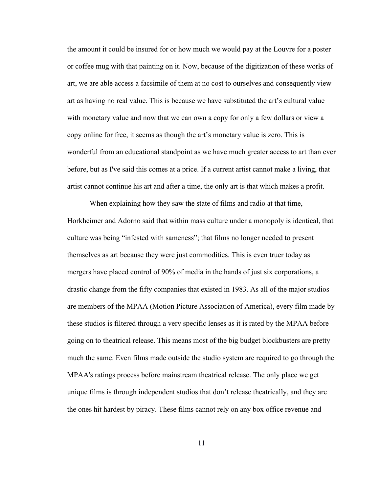the amount it could be insured for or how much we would pay at the Louvre for a poster or coffee mug with that painting on it. Now, because of the digitization of these works of art, we are able access a facsimile of them at no cost to ourselves and consequently view art as having no real value. This is because we have substituted the art's cultural value with monetary value and now that we can own a copy for only a few dollars or view a copy online for free, it seems as though the art's monetary value is zero. This is wonderful from an educational standpoint as we have much greater access to art than ever before, but as I've said this comes at a price. If a current artist cannot make a living, that artist cannot continue his art and after a time, the only art is that which makes a profit.

When explaining how they saw the state of films and radio at that time, Horkheimer and Adorno said that within mass culture under a monopoly is identical, that culture was being "infested with sameness"; that films no longer needed to present themselves as art because they were just commodities. This is even truer today as mergers have placed control of 90% of media in the hands of just six corporations, a drastic change from the fifty companies that existed in 1983. As all of the major studios are members of the MPAA (Motion Picture Association of America), every film made by these studios is filtered through a very specific lenses as it is rated by the MPAA before going on to theatrical release. This means most of the big budget blockbusters are pretty much the same. Even films made outside the studio system are required to go through the MPAA's ratings process before mainstream theatrical release. The only place we get unique films is through independent studios that don't release theatrically, and they are the ones hit hardest by piracy. These films cannot rely on any box office revenue and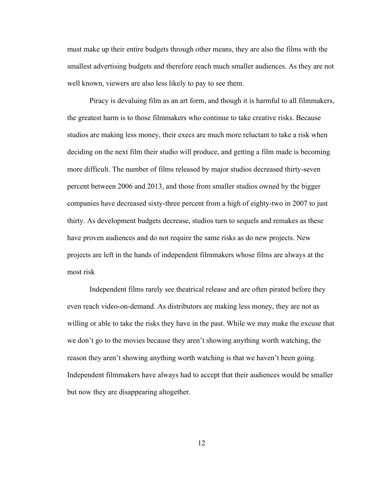must make up their entire budgets through other means, they are also the films with the smallest advertising budgets and therefore reach much smaller audiences. As they are not well known, viewers are also less likely to pay to see them.

Piracy is devaluing film as an art form, and though it is harmful to all filmmakers, the greatest harm is to those filmmakers who continue to take creative risks. Because studios are making less money, their execs are much more reluctant to take a risk when deciding on the next film their studio will produce, and getting a film made is becoming more difficult. The number of films released by major studios decreased thirty-seven percent between 2006 and 2013, and those from smaller studios owned by the bigger companies have decreased sixty-three percent from a high of eighty-two in 2007 to just thirty. As development budgets decrease, studios turn to sequels and remakes as these have proven audiences and do not require the same risks as do new projects. New projects are left in the hands of independent filmmakers whose films are always at the most risk

Independent films rarely see theatrical release and are often pirated before they even reach video-on-demand. As distributors are making less money, they are not as willing or able to take the risks they have in the past. While we may make the excuse that we don't go to the movies because they aren't showing anything worth watching, the reason they aren't showing anything worth watching is that we haven't been going. Independent filmmakers have always had to accept that their audiences would be smaller but now they are disappearing altogether.

12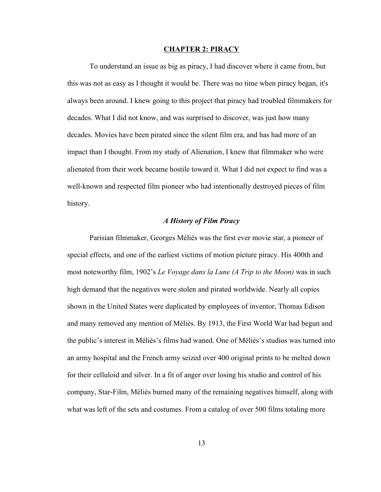#### **CHAPTER 2: PIRACY**

To understand an issue as big as piracy, I had discover where it came from, but this was not as easy as I thought it would be. There was no time when piracy began, it's always been around. I knew going to this project that piracy had troubled filmmakers for decades. What I did not know, and was surprised to discover, was just how many decades. Movies have been pirated since the silent film era, and has had more of an impact than I thought. From my study of Alienation, I knew that filmmaker who were alienated from their work became hostile toward it. What I did not expect to find was a well-known and respected film pioneer who had intentionally destroyed pieces of film history.

# *A History of Film Piracy*

Parisian filmmaker, Georges Méliès was the first ever movie star, a pioneer of special effects, and one of the earliest victims of motion picture piracy. His 400th and most noteworthy film, 1902's *Le Voyage dans la Lune (A Trip to the Moon)* was in such high demand that the negatives were stolen and pirated worldwide. Nearly all copies shown in the United States were duplicated by employees of inventor, Thomas Edison and many removed any mention of Méliès. By 1913, the First World War had begun and the public's interest in Méliès's films had waned. One of Méliès's studios was turned into an army hospital and the French army seized over 400 original prints to be melted down for their celluloid and silver. In a fit of anger over losing his studio and control of his company, Star-Film, Méliès burned many of the remaining negatives himself, along with what was left of the sets and costumes. From a catalog of over 500 films totaling more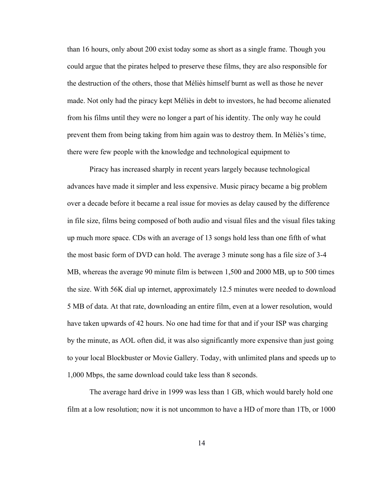than 16 hours, only about 200 exist today some as short as a single frame. Though you could argue that the pirates helped to preserve these films, they are also responsible for the destruction of the others, those that Méliès himself burnt as well as those he never made. Not only had the piracy kept Méliès in debt to investors, he had become alienated from his films until they were no longer a part of his identity. The only way he could prevent them from being taking from him again was to destroy them. In Méliès's time, there were few people with the knowledge and technological equipment to

Piracy has increased sharply in recent years largely because technological advances have made it simpler and less expensive. Music piracy became a big problem over a decade before it became a real issue for movies as delay caused by the difference in file size, films being composed of both audio and visual files and the visual files taking up much more space. CDs with an average of 13 songs hold less than one fifth of what the most basic form of DVD can hold. The average 3 minute song has a file size of 3-4 MB, whereas the average 90 minute film is between 1,500 and 2000 MB, up to 500 times the size. With 56K dial up internet, approximately 12.5 minutes were needed to download 5 MB of data. At that rate, downloading an entire film, even at a lower resolution, would have taken upwards of 42 hours. No one had time for that and if your ISP was charging by the minute, as AOL often did, it was also significantly more expensive than just going to your local Blockbuster or Movie Gallery. Today, with unlimited plans and speeds up to 1,000 Mbps, the same download could take less than 8 seconds.

The average hard drive in 1999 was less than 1 GB, which would barely hold one film at a low resolution; now it is not uncommon to have a HD of more than 1Tb, or 1000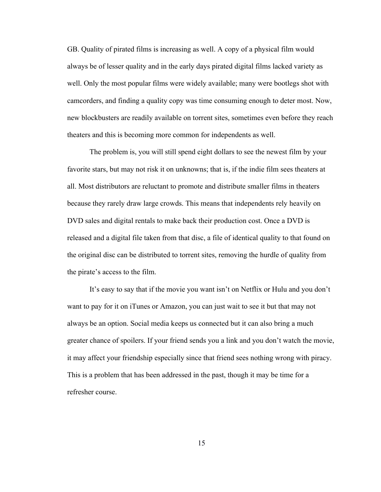GB. Quality of pirated films is increasing as well. A copy of a physical film would always be of lesser quality and in the early days pirated digital films lacked variety as well. Only the most popular films were widely available; many were bootlegs shot with camcorders, and finding a quality copy was time consuming enough to deter most. Now, new blockbusters are readily available on torrent sites, sometimes even before they reach theaters and this is becoming more common for independents as well.

The problem is, you will still spend eight dollars to see the newest film by your favorite stars, but may not risk it on unknowns; that is, if the indie film sees theaters at all. Most distributors are reluctant to promote and distribute smaller films in theaters because they rarely draw large crowds. This means that independents rely heavily on DVD sales and digital rentals to make back their production cost. Once a DVD is released and a digital file taken from that disc, a file of identical quality to that found on the original disc can be distributed to torrent sites, removing the hurdle of quality from the pirate's access to the film.

It's easy to say that if the movie you want isn't on Netflix or Hulu and you don't want to pay for it on iTunes or Amazon, you can just wait to see it but that may not always be an option. Social media keeps us connected but it can also bring a much greater chance of spoilers. If your friend sends you a link and you don't watch the movie, it may affect your friendship especially since that friend sees nothing wrong with piracy. This is a problem that has been addressed in the past, though it may be time for a refresher course.

15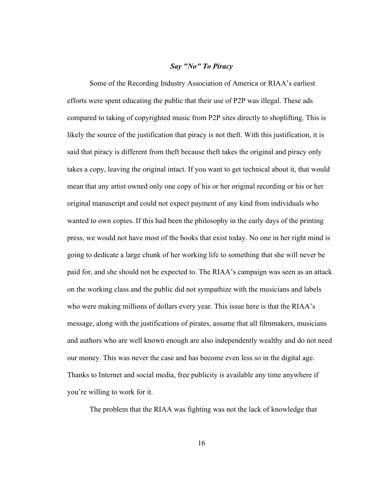#### *Say "No" To Piracy*

Some of the Recording Industry Association of America or RIAA's earliest efforts were spent educating the public that their use of P2P was illegal. These ads compared to taking of copyrighted music from P2P sites directly to shoplifting. This is likely the source of the justification that piracy is not theft. With this justification, it is said that piracy is different from theft because theft takes the original and piracy only takes a copy, leaving the original intact. If you want to get technical about it, that would mean that any artist owned only one copy of his or her original recording or his or her original manuscript and could not expect payment of any kind from individuals who wanted to own copies. If this had been the philosophy in the early days of the printing press, we would not have most of the books that exist today. No one in her right mind is going to dedicate a large chunk of her working life to something that she will never be paid for, and she should not be expected to. The RIAA's campaign was seen as an attack on the working class and the public did not sympathize with the musicians and labels who were making millions of dollars every year. This issue here is that the RIAA's message, along with the justifications of pirates, assume that all filmmakers, musicians and authors who are well known enough are also independently wealthy and do not need our money. This was never the case and has become even less so in the digital age. Thanks to Internet and social media, free publicity is available any time anywhere if you're willing to work for it.

The problem that the RIAA was fighting was not the lack of knowledge that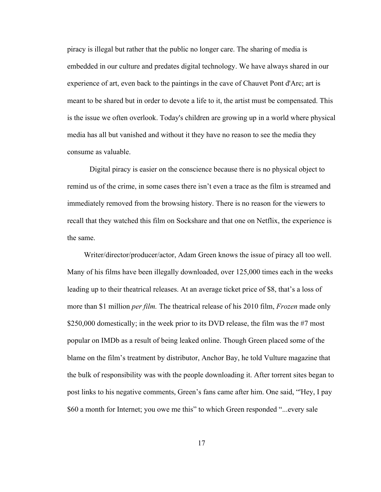piracy is illegal but rather that the public no longer care. The sharing of media is embedded in our culture and predates digital technology. We have always shared in our experience of art, even back to the paintings in the cave of Chauvet Pont d'Arc; art is meant to be shared but in order to devote a life to it, the artist must be compensated. This is the issue we often overlook. Today's children are growing up in a world where physical media has all but vanished and without it they have no reason to see the media they consume as valuable.

Digital piracy is easier on the conscience because there is no physical object to remind us of the crime, in some cases there isn't even a trace as the film is streamed and immediately removed from the browsing history. There is no reason for the viewers to recall that they watched this film on Sockshare and that one on Netflix, the experience is the same.

Writer/director/producer/actor, Adam Green knows the issue of piracy all too well. Many of his films have been illegally downloaded, over 125,000 times each in the weeks leading up to their theatrical releases. At an average ticket price of \$8, that's a loss of more than \$1 million *per film.* The theatrical release of his 2010 film, *Frozen* made only \$250,000 domestically; in the week prior to its DVD release, the film was the #7 most popular on IMDb as a result of being leaked online. Though Green placed some of the blame on the film's treatment by distributor, Anchor Bay, he told Vulture magazine that the bulk of responsibility was with the people downloading it. After torrent sites began to post links to his negative comments, Green's fans came after him. One said, "'Hey, I pay \$60 a month for Internet; you owe me this" to which Green responded "...every sale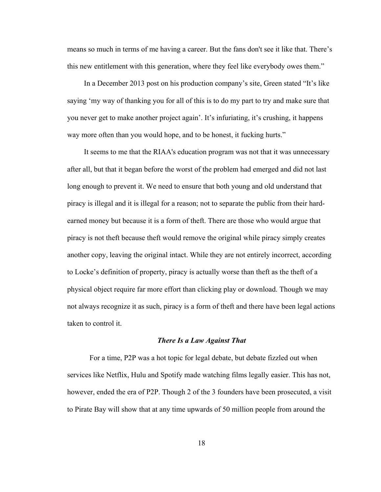means so much in terms of me having a career. But the fans don't see it like that. There's this new entitlement with this generation, where they feel like everybody owes them."

In a December 2013 post on his production company's site, Green stated "It's like saying 'my way of thanking you for all of this is to do my part to try and make sure that you never get to make another project again'. It's infuriating, it's crushing, it happens way more often than you would hope, and to be honest, it fucking hurts."

It seems to me that the RIAA's education program was not that it was unnecessary after all, but that it began before the worst of the problem had emerged and did not last long enough to prevent it. We need to ensure that both young and old understand that piracy is illegal and it is illegal for a reason; not to separate the public from their hardearned money but because it is a form of theft. There are those who would argue that piracy is not theft because theft would remove the original while piracy simply creates another copy, leaving the original intact. While they are not entirely incorrect, according to Locke's definition of property, piracy is actually worse than theft as the theft of a physical object require far more effort than clicking play or download. Though we may not always recognize it as such, piracy is a form of theft and there have been legal actions taken to control it.

#### *There Is a Law Against That*

For a time, P2P was a hot topic for legal debate, but debate fizzled out when services like Netflix, Hulu and Spotify made watching films legally easier. This has not, however, ended the era of P2P. Though 2 of the 3 founders have been prosecuted, a visit to Pirate Bay will show that at any time upwards of 50 million people from around the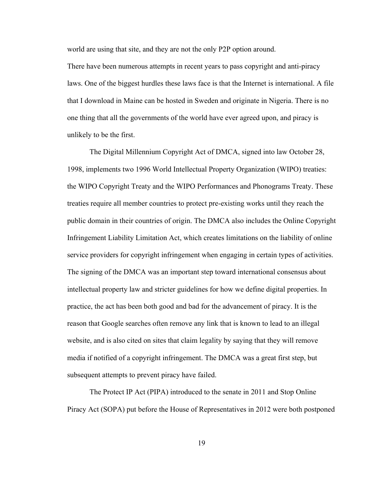world are using that site, and they are not the only P2P option around.

There have been numerous attempts in recent years to pass copyright and anti-piracy laws. One of the biggest hurdles these laws face is that the Internet is international. A file that I download in Maine can be hosted in Sweden and originate in Nigeria. There is no one thing that all the governments of the world have ever agreed upon, and piracy is unlikely to be the first.

The Digital Millennium Copyright Act of DMCA, signed into law October 28, 1998, implements two 1996 World Intellectual Property Organization (WIPO) treaties: the WIPO Copyright Treaty and the WIPO Performances and Phonograms Treaty. These treaties require all member countries to protect pre-existing works until they reach the public domain in their countries of origin. The DMCA also includes the Online Copyright Infringement Liability Limitation Act, which creates limitations on the liability of online service providers for copyright infringement when engaging in certain types of activities. The signing of the DMCA was an important step toward international consensus about intellectual property law and stricter guidelines for how we define digital properties. In practice, the act has been both good and bad for the advancement of piracy. It is the reason that Google searches often remove any link that is known to lead to an illegal website, and is also cited on sites that claim legality by saying that they will remove media if notified of a copyright infringement. The DMCA was a great first step, but subsequent attempts to prevent piracy have failed.

The Protect IP Act (PIPA) introduced to the senate in 2011 and Stop Online Piracy Act (SOPA) put before the House of Representatives in 2012 were both postponed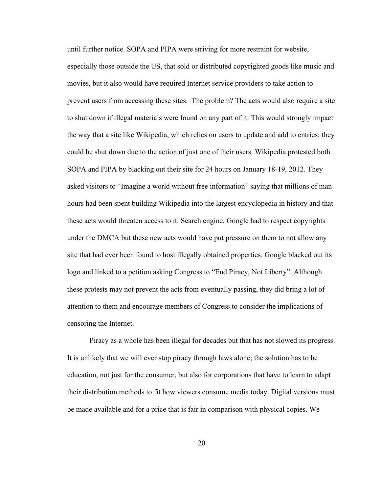until further notice. SOPA and PIPA were striving for more restraint for website, especially those outside the US, that sold or distributed copyrighted goods like music and movies, but it also would have required Internet service providers to take action to prevent users from accessing these sites. The problem? The acts would also require a site to shut down if illegal materials were found on any part of it. This would strongly impact the way that a site like Wikipedia, which relies on users to update and add to entries; they could be shut down due to the action of just one of their users. Wikipedia protested both SOPA and PIPA by blacking out their site for 24 hours on January 18-19, 2012. They asked visitors to "Imagine a world without free information" saying that millions of man hours had been spent building Wikipedia into the largest encyclopedia in history and that these acts would threaten access to it. Search engine, Google had to respect copyrights under the DMCA but these new acts would have put pressure on them to not allow any site that had ever been found to host illegally obtained properties. Google blacked out its logo and linked to a petition asking Congress to "End Piracy, Not Liberty". Although these protests may not prevent the acts from eventually passing, they did bring a lot of attention to them and encourage members of Congress to consider the implications of censoring the Internet.

Piracy as a whole has been illegal for decades but that has not slowed its progress. It is unlikely that we will ever stop piracy through laws alone; the solution has to be education, not just for the consumer, but also for corporations that have to learn to adapt their distribution methods to fit how viewers consume media today. Digital versions must be made available and for a price that is fair in comparison with physical copies. We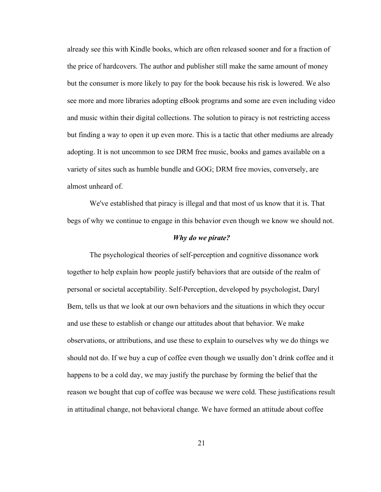already see this with Kindle books, which are often released sooner and for a fraction of the price of hardcovers. The author and publisher still make the same amount of money but the consumer is more likely to pay for the book because his risk is lowered. We also see more and more libraries adopting eBook programs and some are even including video and music within their digital collections. The solution to piracy is not restricting access but finding a way to open it up even more. This is a tactic that other mediums are already adopting. It is not uncommon to see DRM free music, books and games available on a variety of sites such as humble bundle and GOG; DRM free movies, conversely, are almost unheard of.

We've established that piracy is illegal and that most of us know that it is. That begs of why we continue to engage in this behavior even though we know we should not.

#### *Why do we pirate?*

The psychological theories of self-perception and cognitive dissonance work together to help explain how people justify behaviors that are outside of the realm of personal or societal acceptability. Self-Perception, developed by psychologist, Daryl Bem, tells us that we look at our own behaviors and the situations in which they occur and use these to establish or change our attitudes about that behavior. We make observations, or attributions, and use these to explain to ourselves why we do things we should not do. If we buy a cup of coffee even though we usually don't drink coffee and it happens to be a cold day, we may justify the purchase by forming the belief that the reason we bought that cup of coffee was because we were cold. These justifications result in attitudinal change, not behavioral change. We have formed an attitude about coffee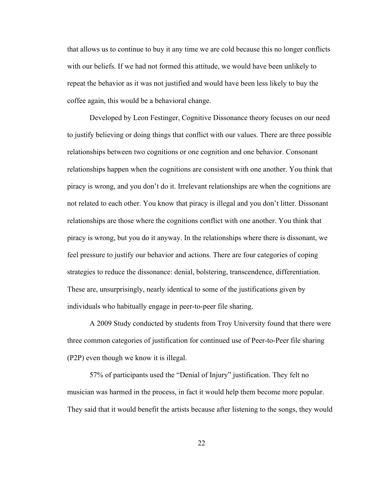that allows us to continue to buy it any time we are cold because this no longer conflicts with our beliefs. If we had not formed this attitude, we would have been unlikely to repeat the behavior as it was not justified and would have been less likely to buy the coffee again, this would be a behavioral change.

Developed by Leon Festinger, Cognitive Dissonance theory focuses on our need to justify believing or doing things that conflict with our values. There are three possible relationships between two cognitions or one cognition and one behavior. Consonant relationships happen when the cognitions are consistent with one another. You think that piracy is wrong, and you don't do it. Irrelevant relationships are when the cognitions are not related to each other. You know that piracy is illegal and you don't litter. Dissonant relationships are those where the cognitions conflict with one another. You think that piracy is wrong, but you do it anyway. In the relationships where there is dissonant, we feel pressure to justify our behavior and actions. There are four categories of coping strategies to reduce the dissonance: denial, bolstering, transcendence, differentiation. These are, unsurprisingly, nearly identical to some of the justifications given by individuals who habitually engage in peer-to-peer file sharing.

A 2009 Study conducted by students from Troy University found that there were three common categories of justification for continued use of Peer-to-Peer file sharing (P2P) even though we know it is illegal.

57% of participants used the "Denial of Injury" justification. They felt no musician was harmed in the process, in fact it would help them become more popular. They said that it would benefit the artists because after listening to the songs, they would

22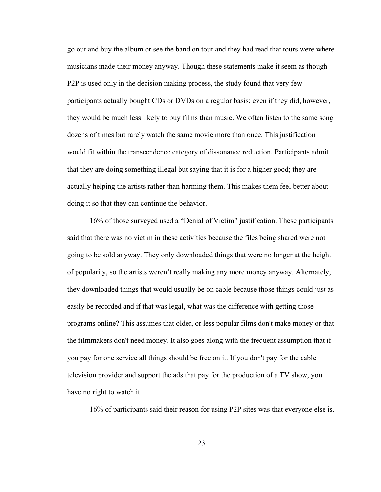go out and buy the album or see the band on tour and they had read that tours were where musicians made their money anyway. Though these statements make it seem as though P2P is used only in the decision making process, the study found that very few participants actually bought CDs or DVDs on a regular basis; even if they did, however, they would be much less likely to buy films than music. We often listen to the same song dozens of times but rarely watch the same movie more than once. This justification would fit within the transcendence category of dissonance reduction. Participants admit that they are doing something illegal but saying that it is for a higher good; they are actually helping the artists rather than harming them. This makes them feel better about doing it so that they can continue the behavior.

16% of those surveyed used a "Denial of Victim" justification. These participants said that there was no victim in these activities because the files being shared were not going to be sold anyway. They only downloaded things that were no longer at the height of popularity, so the artists weren't really making any more money anyway. Alternately, they downloaded things that would usually be on cable because those things could just as easily be recorded and if that was legal, what was the difference with getting those programs online? This assumes that older, or less popular films don't make money or that the filmmakers don't need money. It also goes along with the frequent assumption that if you pay for one service all things should be free on it. If you don't pay for the cable television provider and support the ads that pay for the production of a TV show, you have no right to watch it.

16% of participants said their reason for using P2P sites was that everyone else is.

23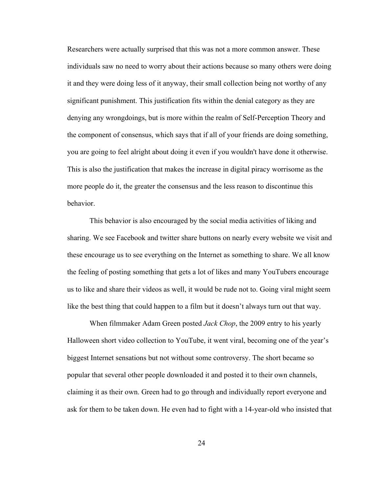Researchers were actually surprised that this was not a more common answer. These individuals saw no need to worry about their actions because so many others were doing it and they were doing less of it anyway, their small collection being not worthy of any significant punishment. This justification fits within the denial category as they are denying any wrongdoings, but is more within the realm of Self-Perception Theory and the component of consensus, which says that if all of your friends are doing something, you are going to feel alright about doing it even if you wouldn't have done it otherwise. This is also the justification that makes the increase in digital piracy worrisome as the more people do it, the greater the consensus and the less reason to discontinue this behavior.

This behavior is also encouraged by the social media activities of liking and sharing. We see Facebook and twitter share buttons on nearly every website we visit and these encourage us to see everything on the Internet as something to share. We all know the feeling of posting something that gets a lot of likes and many YouTubers encourage us to like and share their videos as well, it would be rude not to. Going viral might seem like the best thing that could happen to a film but it doesn't always turn out that way.

When filmmaker Adam Green posted *Jack Chop*, the 2009 entry to his yearly Halloween short video collection to YouTube, it went viral, becoming one of the year's biggest Internet sensations but not without some controversy. The short became so popular that several other people downloaded it and posted it to their own channels, claiming it as their own. Green had to go through and individually report everyone and ask for them to be taken down. He even had to fight with a 14-year-old who insisted that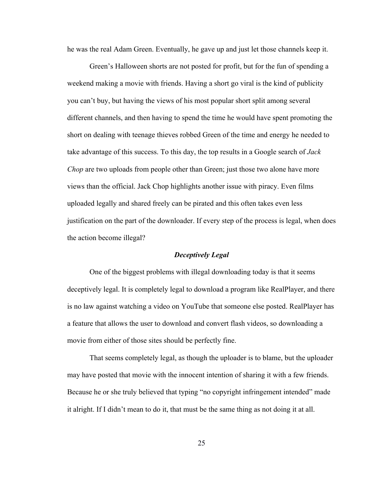he was the real Adam Green. Eventually, he gave up and just let those channels keep it.

Green's Halloween shorts are not posted for profit, but for the fun of spending a weekend making a movie with friends. Having a short go viral is the kind of publicity you can't buy, but having the views of his most popular short split among several different channels, and then having to spend the time he would have spent promoting the short on dealing with teenage thieves robbed Green of the time and energy he needed to take advantage of this success. To this day, the top results in a Google search of *Jack Chop* are two uploads from people other than Green; just those two alone have more views than the official. Jack Chop highlights another issue with piracy. Even films uploaded legally and shared freely can be pirated and this often takes even less justification on the part of the downloader. If every step of the process is legal, when does the action become illegal?

## *Deceptively Legal*

One of the biggest problems with illegal downloading today is that it seems deceptively legal. It is completely legal to download a program like RealPlayer, and there is no law against watching a video on YouTube that someone else posted. RealPlayer has a feature that allows the user to download and convert flash videos, so downloading a movie from either of those sites should be perfectly fine.

That seems completely legal, as though the uploader is to blame, but the uploader may have posted that movie with the innocent intention of sharing it with a few friends. Because he or she truly believed that typing "no copyright infringement intended" made it alright. If I didn't mean to do it, that must be the same thing as not doing it at all.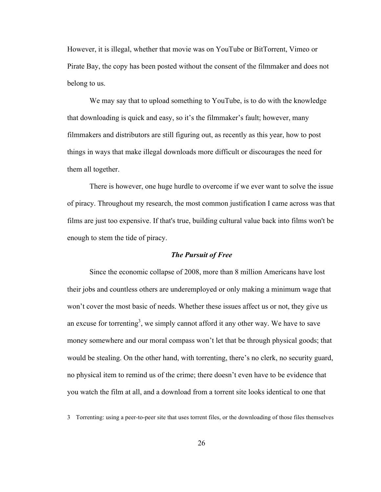However, it is illegal, whether that movie was on YouTube or BitTorrent, Vimeo or Pirate Bay, the copy has been posted without the consent of the filmmaker and does not belong to us.

We may say that to upload something to YouTube, is to do with the knowledge that downloading is quick and easy, so it's the filmmaker's fault; however, many filmmakers and distributors are still figuring out, as recently as this year, how to post things in ways that make illegal downloads more difficult or discourages the need for them all together.

There is however, one huge hurdle to overcome if we ever want to solve the issue of piracy. Throughout my research, the most common justification I came across was that films are just too expensive. If that's true, building cultural value back into films won't be enough to stem the tide of piracy.

#### *The Pursuit of Free*

Since the economic collapse of 2008, more than 8 million Americans have lost their jobs and countless others are underemployed or only making a minimum wage that won't cover the most basic of needs. Whether these issues affect us or not, they give us an excuse for torrenting<sup>3</sup>, we simply cannot afford it any other way. We have to save money somewhere and our moral compass won't let that be through physical goods; that would be stealing. On the other hand, with torrenting, there's no clerk, no security guard, no physical item to remind us of the crime; there doesn't even have to be evidence that you watch the film at all, and a download from a torrent site looks identical to one that

<sup>3</sup> Torrenting: using a peer-to-peer site that uses torrent files, or the downloading of those files themselves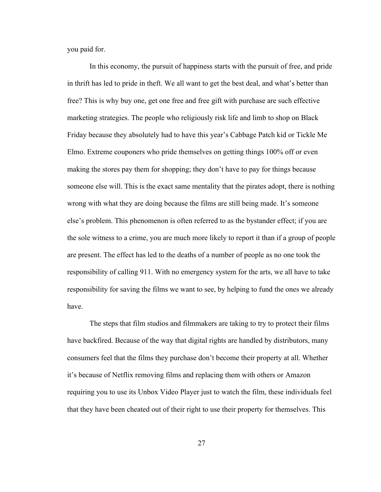you paid for.

In this economy, the pursuit of happiness starts with the pursuit of free, and pride in thrift has led to pride in theft. We all want to get the best deal, and what's better than free? This is why buy one, get one free and free gift with purchase are such effective marketing strategies. The people who religiously risk life and limb to shop on Black Friday because they absolutely had to have this year's Cabbage Patch kid or Tickle Me Elmo. Extreme couponers who pride themselves on getting things 100% off or even making the stores pay them for shopping; they don't have to pay for things because someone else will. This is the exact same mentality that the pirates adopt, there is nothing wrong with what they are doing because the films are still being made. It's someone else's problem. This phenomenon is often referred to as the bystander effect; if you are the sole witness to a crime, you are much more likely to report it than if a group of people are present. The effect has led to the deaths of a number of people as no one took the responsibility of calling 911. With no emergency system for the arts, we all have to take responsibility for saving the films we want to see, by helping to fund the ones we already have.

The steps that film studios and filmmakers are taking to try to protect their films have backfired. Because of the way that digital rights are handled by distributors, many consumers feel that the films they purchase don't become their property at all. Whether it's because of Netflix removing films and replacing them with others or Amazon requiring you to use its Unbox Video Player just to watch the film, these individuals feel that they have been cheated out of their right to use their property for themselves. This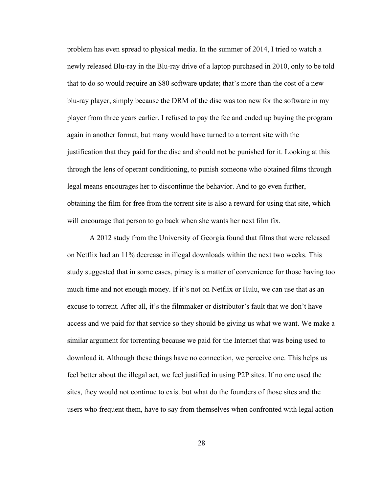problem has even spread to physical media. In the summer of 2014, I tried to watch a newly released Blu-ray in the Blu-ray drive of a laptop purchased in 2010, only to be told that to do so would require an \$80 software update; that's more than the cost of a new blu-ray player, simply because the DRM of the disc was too new for the software in my player from three years earlier. I refused to pay the fee and ended up buying the program again in another format, but many would have turned to a torrent site with the justification that they paid for the disc and should not be punished for it. Looking at this through the lens of operant conditioning, to punish someone who obtained films through legal means encourages her to discontinue the behavior. And to go even further, obtaining the film for free from the torrent site is also a reward for using that site, which will encourage that person to go back when she wants her next film fix.

A 2012 study from the University of Georgia found that films that were released on Netflix had an 11% decrease in illegal downloads within the next two weeks. This study suggested that in some cases, piracy is a matter of convenience for those having too much time and not enough money. If it's not on Netflix or Hulu, we can use that as an excuse to torrent. After all, it's the filmmaker or distributor's fault that we don't have access and we paid for that service so they should be giving us what we want. We make a similar argument for torrenting because we paid for the Internet that was being used to download it. Although these things have no connection, we perceive one. This helps us feel better about the illegal act, we feel justified in using P2P sites. If no one used the sites, they would not continue to exist but what do the founders of those sites and the users who frequent them, have to say from themselves when confronted with legal action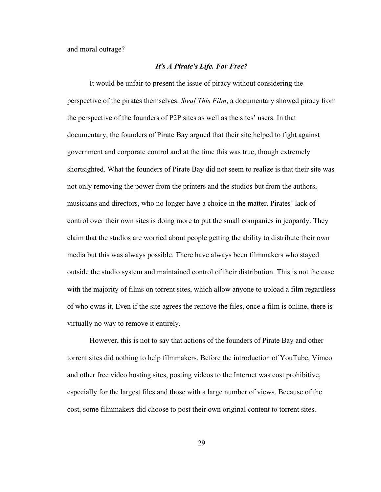and moral outrage?

#### *It's A Pirate's Life. For Free?*

It would be unfair to present the issue of piracy without considering the perspective of the pirates themselves. *Steal This Film*, a documentary showed piracy from the perspective of the founders of P2P sites as well as the sites' users. In that documentary, the founders of Pirate Bay argued that their site helped to fight against government and corporate control and at the time this was true, though extremely shortsighted. What the founders of Pirate Bay did not seem to realize is that their site was not only removing the power from the printers and the studios but from the authors, musicians and directors, who no longer have a choice in the matter. Pirates' lack of control over their own sites is doing more to put the small companies in jeopardy. They claim that the studios are worried about people getting the ability to distribute their own media but this was always possible. There have always been filmmakers who stayed outside the studio system and maintained control of their distribution. This is not the case with the majority of films on torrent sites, which allow anyone to upload a film regardless of who owns it. Even if the site agrees the remove the files, once a film is online, there is virtually no way to remove it entirely.

However, this is not to say that actions of the founders of Pirate Bay and other torrent sites did nothing to help filmmakers. Before the introduction of YouTube, Vimeo and other free video hosting sites, posting videos to the Internet was cost prohibitive, especially for the largest files and those with a large number of views. Because of the cost, some filmmakers did choose to post their own original content to torrent sites.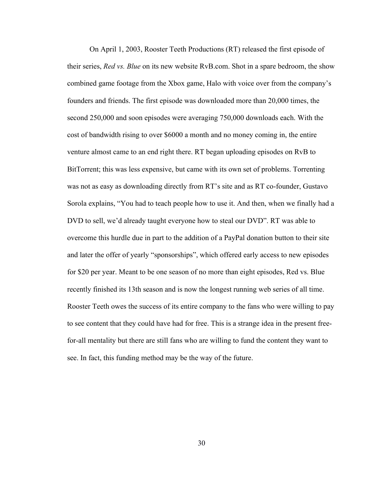On April 1, 2003, Rooster Teeth Productions (RT) released the first episode of their series, *Red vs. Blue* on its new website RvB.com. Shot in a spare bedroom, the show combined game footage from the Xbox game, Halo with voice over from the company's founders and friends. The first episode was downloaded more than 20,000 times, the second 250,000 and soon episodes were averaging 750,000 downloads each. With the cost of bandwidth rising to over \$6000 a month and no money coming in, the entire venture almost came to an end right there. RT began uploading episodes on RvB to BitTorrent; this was less expensive, but came with its own set of problems. Torrenting was not as easy as downloading directly from RT's site and as RT co-founder, Gustavo Sorola explains, "You had to teach people how to use it. And then, when we finally had a DVD to sell, we'd already taught everyone how to steal our DVD". RT was able to overcome this hurdle due in part to the addition of a PayPal donation button to their site and later the offer of yearly "sponsorships", which offered early access to new episodes for \$20 per year. Meant to be one season of no more than eight episodes, Red vs. Blue recently finished its 13th season and is now the longest running web series of all time. Rooster Teeth owes the success of its entire company to the fans who were willing to pay to see content that they could have had for free. This is a strange idea in the present freefor-all mentality but there are still fans who are willing to fund the content they want to see. In fact, this funding method may be the way of the future.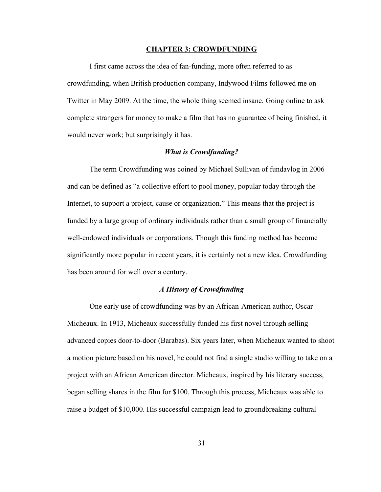#### **CHAPTER 3: CROWDFUNDING**

I first came across the idea of fan-funding, more often referred to as crowdfunding, when British production company, Indywood Films followed me on Twitter in May 2009. At the time, the whole thing seemed insane. Going online to ask complete strangers for money to make a film that has no guarantee of being finished, it would never work; but surprisingly it has.

#### *What is Crowdfunding?*

The term Crowdfunding was coined by Michael Sullivan of fundavlog in 2006 and can be defined as "a collective effort to pool money, popular today through the Internet, to support a project, cause or organization." This means that the project is funded by a large group of ordinary individuals rather than a small group of financially well-endowed individuals or corporations. Though this funding method has become significantly more popular in recent years, it is certainly not a new idea. Crowdfunding has been around for well over a century.

# *A History of Crowdfunding*

One early use of crowdfunding was by an African-American author, Oscar Micheaux. In 1913, Micheaux successfully funded his first novel through selling advanced copies door-to-door (Barabas). Six years later, when Micheaux wanted to shoot a motion picture based on his novel, he could not find a single studio willing to take on a project with an African American director. Micheaux, inspired by his literary success, began selling shares in the film for \$100. Through this process, Micheaux was able to raise a budget of \$10,000. His successful campaign lead to groundbreaking cultural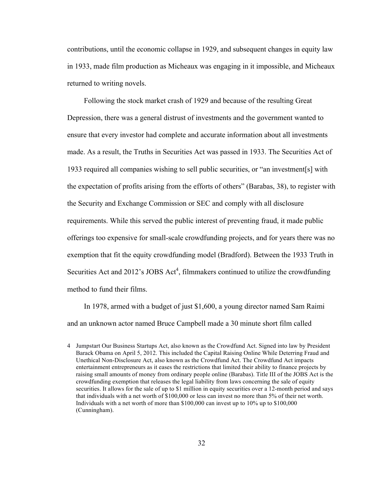contributions, until the economic collapse in 1929, and subsequent changes in equity law in 1933, made film production as Micheaux was engaging in it impossible, and Micheaux returned to writing novels.

Following the stock market crash of 1929 and because of the resulting Great Depression, there was a general distrust of investments and the government wanted to ensure that every investor had complete and accurate information about all investments made. As a result, the Truths in Securities Act was passed in 1933. The Securities Act of 1933 required all companies wishing to sell public securities, or "an investment[s] with the expectation of profits arising from the efforts of others" (Barabas, 38), to register with the Security and Exchange Commission or SEC and comply with all disclosure requirements. While this served the public interest of preventing fraud, it made public offerings too expensive for small-scale crowdfunding projects, and for years there was no exemption that fit the equity crowdfunding model (Bradford). Between the 1933 Truth in Securities Act and  $2012$ 's JOBS Act<sup>4</sup>, filmmakers continued to utilize the crowdfunding method to fund their films.

In 1978, armed with a budget of just \$1,600, a young director named Sam Raimi and an unknown actor named Bruce Campbell made a 30 minute short film called

<sup>4</sup> Jumpstart Our Business Startups Act, also known as the Crowdfund Act. Signed into law by President Barack Obama on April 5, 2012. This included the Capital Raising Online While Deterring Fraud and Unethical Non-Disclosure Act, also known as the Crowdfund Act. The Crowdfund Act impacts entertainment entrepreneurs as it eases the restrictions that limited their ability to finance projects by raising small amounts of money from ordinary people online (Barabas). Title III of the JOBS Act is the crowdfunding exemption that releases the legal liability from laws concerning the sale of equity securities. It allows for the sale of up to \$1 million in equity securities over a 12-month period and says that individuals with a net worth of \$100,000 or less can invest no more than 5% of their net worth. Individuals with a net worth of more than \$100,000 can invest up to 10% up to \$100,000 (Cunningham).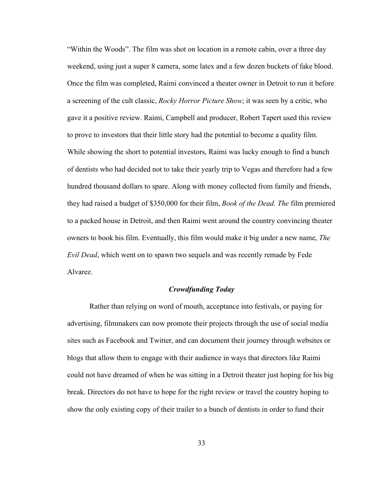"Within the Woods". The film was shot on location in a remote cabin, over a three day weekend, using just a super 8 camera, some latex and a few dozen buckets of fake blood. Once the film was completed, Raimi convinced a theater owner in Detroit to run it before a screening of the cult classic, *Rocky Horror Picture Show*; it was seen by a critic, who gave it a positive review. Raimi, Campbell and producer, Robert Tapert used this review to prove to investors that their little story had the potential to become a quality film. While showing the short to potential investors, Raimi was lucky enough to find a bunch of dentists who had decided not to take their yearly trip to Vegas and therefore had a few hundred thousand dollars to spare. Along with money collected from family and friends, they had raised a budget of \$350,000 for their film, *Book of the Dead. The* film premiered to a packed house in Detroit, and then Raimi went around the country convincing theater owners to book his film. Eventually, this film would make it big under a new name, *The Evil Dead*, which went on to spawn two sequels and was recently remade by Fede Alvarez.

# *Crowdfunding Today*

Rather than relying on word of mouth, acceptance into festivals, or paying for advertising, filmmakers can now promote their projects through the use of social media sites such as Facebook and Twitter, and can document their journey through websites or blogs that allow them to engage with their audience in ways that directors like Raimi could not have dreamed of when he was sitting in a Detroit theater just hoping for his big break. Directors do not have to hope for the right review or travel the country hoping to show the only existing copy of their trailer to a bunch of dentists in order to fund their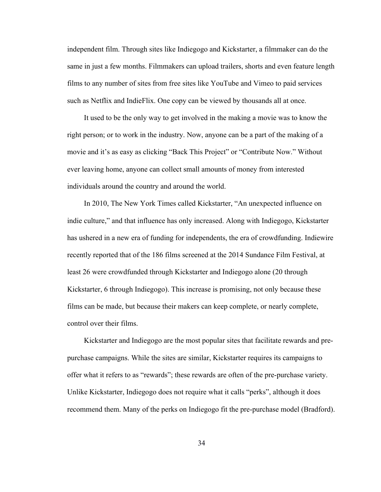independent film. Through sites like Indiegogo and Kickstarter, a filmmaker can do the same in just a few months. Filmmakers can upload trailers, shorts and even feature length films to any number of sites from free sites like YouTube and Vimeo to paid services such as Netflix and IndieFlix. One copy can be viewed by thousands all at once.

It used to be the only way to get involved in the making a movie was to know the right person; or to work in the industry. Now, anyone can be a part of the making of a movie and it's as easy as clicking "Back This Project" or "Contribute Now." Without ever leaving home, anyone can collect small amounts of money from interested individuals around the country and around the world.

In 2010, The New York Times called Kickstarter, "An unexpected influence on indie culture," and that influence has only increased. Along with Indiegogo, Kickstarter has ushered in a new era of funding for independents, the era of crowdfunding. Indiewire recently reported that of the 186 films screened at the 2014 Sundance Film Festival, at least 26 were crowdfunded through Kickstarter and Indiegogo alone (20 through Kickstarter, 6 through Indiegogo). This increase is promising, not only because these films can be made, but because their makers can keep complete, or nearly complete, control over their films.

Kickstarter and Indiegogo are the most popular sites that facilitate rewards and prepurchase campaigns. While the sites are similar, Kickstarter requires its campaigns to offer what it refers to as "rewards"; these rewards are often of the pre-purchase variety. Unlike Kickstarter, Indiegogo does not require what it calls "perks", although it does recommend them. Many of the perks on Indiegogo fit the pre-purchase model (Bradford).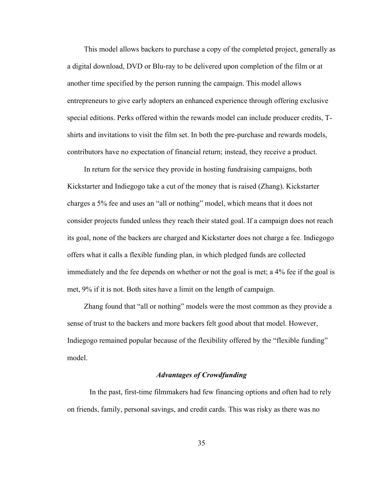This model allows backers to purchase a copy of the completed project, generally as a digital download, DVD or Blu-ray to be delivered upon completion of the film or at another time specified by the person running the campaign. This model allows entrepreneurs to give early adopters an enhanced experience through offering exclusive special editions. Perks offered within the rewards model can include producer credits, Tshirts and invitations to visit the film set. In both the pre-purchase and rewards models, contributors have no expectation of financial return; instead, they receive a product.

In return for the service they provide in hosting fundraising campaigns, both Kickstarter and Indiegogo take a cut of the money that is raised (Zhang). Kickstarter charges a 5% fee and uses an "all or nothing" model, which means that it does not consider projects funded unless they reach their stated goal. If a campaign does not reach its goal, none of the backers are charged and Kickstarter does not charge a fee. Indiegogo offers what it calls a flexible funding plan, in which pledged funds are collected immediately and the fee depends on whether or not the goal is met; a 4% fee if the goal is met, 9% if it is not. Both sites have a limit on the length of campaign.

Zhang found that "all or nothing" models were the most common as they provide a sense of trust to the backers and more backers felt good about that model. However, Indiegogo remained popular because of the flexibility offered by the "flexible funding" model.

# *Advantages of Crowdfunding*

In the past, first-time filmmakers had few financing options and often had to rely on friends, family, personal savings, and credit cards. This was risky as there was no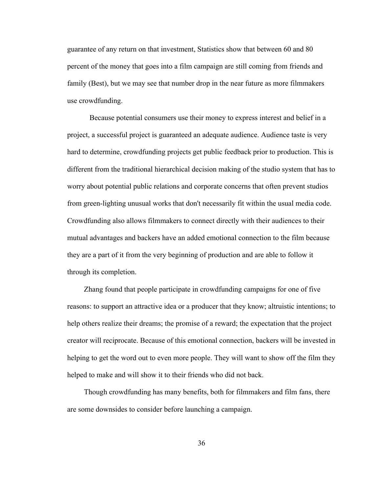guarantee of any return on that investment, Statistics show that between 60 and 80 percent of the money that goes into a film campaign are still coming from friends and family (Best), but we may see that number drop in the near future as more filmmakers use crowdfunding.

Because potential consumers use their money to express interest and belief in a project, a successful project is guaranteed an adequate audience. Audience taste is very hard to determine, crowdfunding projects get public feedback prior to production. This is different from the traditional hierarchical decision making of the studio system that has to worry about potential public relations and corporate concerns that often prevent studios from green-lighting unusual works that don't necessarily fit within the usual media code. Crowdfunding also allows filmmakers to connect directly with their audiences to their mutual advantages and backers have an added emotional connection to the film because they are a part of it from the very beginning of production and are able to follow it through its completion.

Zhang found that people participate in crowdfunding campaigns for one of five reasons: to support an attractive idea or a producer that they know; altruistic intentions; to help others realize their dreams; the promise of a reward; the expectation that the project creator will reciprocate. Because of this emotional connection, backers will be invested in helping to get the word out to even more people. They will want to show off the film they helped to make and will show it to their friends who did not back.

Though crowdfunding has many benefits, both for filmmakers and film fans, there are some downsides to consider before launching a campaign.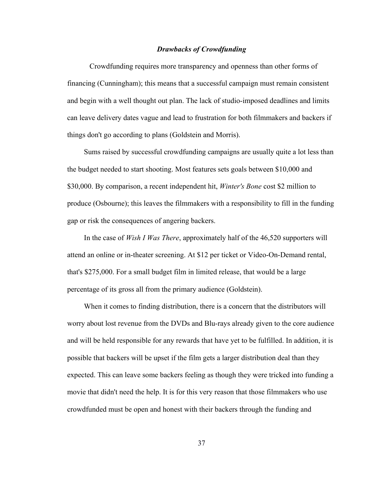#### *Drawbacks of Crowdfunding*

Crowdfunding requires more transparency and openness than other forms of financing (Cunningham); this means that a successful campaign must remain consistent and begin with a well thought out plan. The lack of studio-imposed deadlines and limits can leave delivery dates vague and lead to frustration for both filmmakers and backers if things don't go according to plans (Goldstein and Morris).

Sums raised by successful crowdfunding campaigns are usually quite a lot less than the budget needed to start shooting. Most features sets goals between \$10,000 and \$30,000. By comparison, a recent independent hit, *Winter's Bone* cost \$2 million to produce (Osbourne); this leaves the filmmakers with a responsibility to fill in the funding gap or risk the consequences of angering backers.

In the case of *Wish I Was There*, approximately half of the 46,520 supporters will attend an online or in-theater screening. At \$12 per ticket or Video-On-Demand rental, that's \$275,000. For a small budget film in limited release, that would be a large percentage of its gross all from the primary audience (Goldstein).

When it comes to finding distribution, there is a concern that the distributors will worry about lost revenue from the DVDs and Blu-rays already given to the core audience and will be held responsible for any rewards that have yet to be fulfilled. In addition, it is possible that backers will be upset if the film gets a larger distribution deal than they expected. This can leave some backers feeling as though they were tricked into funding a movie that didn't need the help. It is for this very reason that those filmmakers who use crowdfunded must be open and honest with their backers through the funding and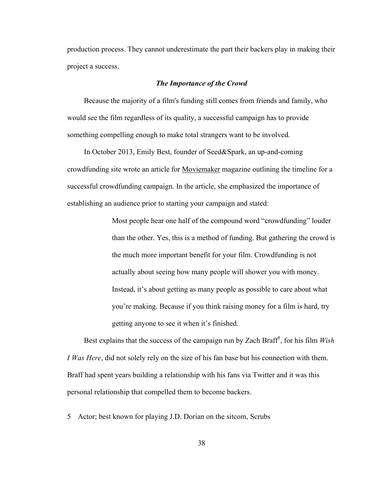production process. They cannot underestimate the part their backers play in making their project a success.

# *The Importance of the Crowd*

Because the majority of a film's funding still comes from friends and family, who would see the film regardless of its quality, a successful campaign has to provide something compelling enough to make total strangers want to be involved.

In October 2013, Emily Best, founder of Seed&Spark, an up-and-coming crowdfunding site wrote an article for Moviemaker magazine outlining the timeline for a successful crowdfunding campaign. In the article, she emphasized the importance of establishing an audience prior to starting your campaign and stated:

> Most people hear one half of the compound word "crowdfunding" louder than the other. Yes, this is a method of funding. But gathering the crowd is the much more important benefit for your film. Crowdfunding is not actually about seeing how many people will shower you with money. Instead, it's about getting as many people as possible to care about what you're making. Because if you think raising money for a film is hard, try getting anyone to see it when it's finished.

Best explains that the success of the campaign run by Zach Braff<sup>5</sup>, for his film  $Wish$ *I Was Here*, did not solely rely on the size of his fan base but his connection with them. Braff had spent years building a relationship with his fans via Twitter and it was this personal relationship that compelled them to become backers.

5 Actor; best known for playing J.D. Dorian on the sitcom, Scrubs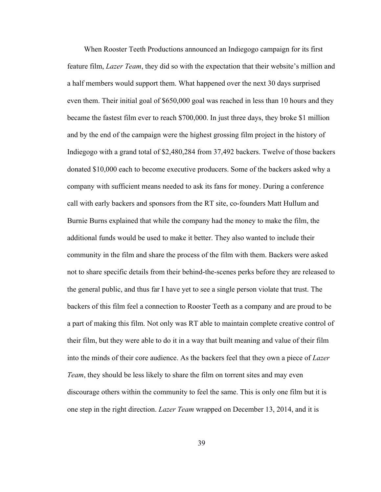When Rooster Teeth Productions announced an Indiegogo campaign for its first feature film, *Lazer Team*, they did so with the expectation that their website's million and a half members would support them. What happened over the next 30 days surprised even them. Their initial goal of \$650,000 goal was reached in less than 10 hours and they became the fastest film ever to reach \$700,000. In just three days, they broke \$1 million and by the end of the campaign were the highest grossing film project in the history of Indiegogo with a grand total of \$2,480,284 from 37,492 backers. Twelve of those backers donated \$10,000 each to become executive producers. Some of the backers asked why a company with sufficient means needed to ask its fans for money. During a conference call with early backers and sponsors from the RT site, co-founders Matt Hullum and Burnie Burns explained that while the company had the money to make the film, the additional funds would be used to make it better. They also wanted to include their community in the film and share the process of the film with them. Backers were asked not to share specific details from their behind-the-scenes perks before they are released to the general public, and thus far I have yet to see a single person violate that trust. The backers of this film feel a connection to Rooster Teeth as a company and are proud to be a part of making this film. Not only was RT able to maintain complete creative control of their film, but they were able to do it in a way that built meaning and value of their film into the minds of their core audience. As the backers feel that they own a piece of *Lazer Team*, they should be less likely to share the film on torrent sites and may even discourage others within the community to feel the same. This is only one film but it is one step in the right direction. *Lazer Team* wrapped on December 13, 2014, and it is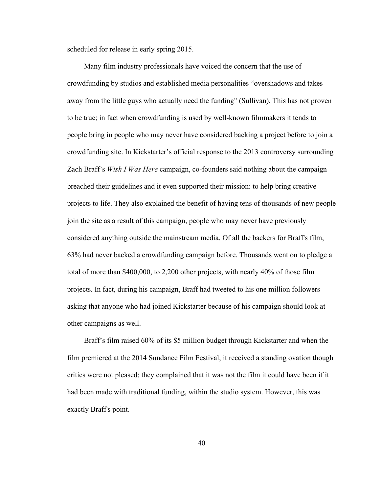scheduled for release in early spring 2015.

Many film industry professionals have voiced the concern that the use of crowdfunding by studios and established media personalities "overshadows and takes away from the little guys who actually need the funding" (Sullivan). This has not proven to be true; in fact when crowdfunding is used by well-known filmmakers it tends to people bring in people who may never have considered backing a project before to join a crowdfunding site. In Kickstarter's official response to the 2013 controversy surrounding Zach Braff's *Wish I Was Here* campaign, co-founders said nothing about the campaign breached their guidelines and it even supported their mission: to help bring creative projects to life. They also explained the benefit of having tens of thousands of new people join the site as a result of this campaign, people who may never have previously considered anything outside the mainstream media. Of all the backers for Braff's film, 63% had never backed a crowdfunding campaign before. Thousands went on to pledge a total of more than \$400,000, to 2,200 other projects, with nearly 40% of those film projects. In fact, during his campaign, Braff had tweeted to his one million followers asking that anyone who had joined Kickstarter because of his campaign should look at other campaigns as well.

Braff's film raised 60% of its \$5 million budget through Kickstarter and when the film premiered at the 2014 Sundance Film Festival, it received a standing ovation though critics were not pleased; they complained that it was not the film it could have been if it had been made with traditional funding, within the studio system. However, this was exactly Braff's point.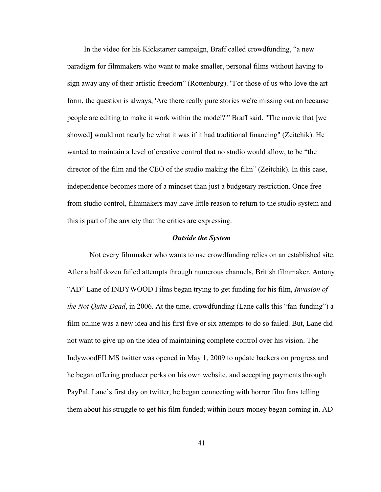In the video for his Kickstarter campaign, Braff called crowdfunding, "a new paradigm for filmmakers who want to make smaller, personal films without having to sign away any of their artistic freedom" (Rottenburg). "For those of us who love the art form, the question is always, 'Are there really pure stories we're missing out on because people are editing to make it work within the model?'" Braff said. "The movie that [we showed] would not nearly be what it was if it had traditional financing" (Zeitchik). He wanted to maintain a level of creative control that no studio would allow, to be "the director of the film and the CEO of the studio making the film" (Zeitchik). In this case, independence becomes more of a mindset than just a budgetary restriction. Once free from studio control, filmmakers may have little reason to return to the studio system and this is part of the anxiety that the critics are expressing.

#### *Outside the System*

Not every filmmaker who wants to use crowdfunding relies on an established site. After a half dozen failed attempts through numerous channels, British filmmaker, Antony "AD" Lane of INDYWOOD Films began trying to get funding for his film, *Invasion of the Not Quite Dead*, in 2006. At the time, crowdfunding (Lane calls this "fan-funding") a film online was a new idea and his first five or six attempts to do so failed. But, Lane did not want to give up on the idea of maintaining complete control over his vision. The IndywoodFILMS twitter was opened in May 1, 2009 to update backers on progress and he began offering producer perks on his own website, and accepting payments through PayPal. Lane's first day on twitter, he began connecting with horror film fans telling them about his struggle to get his film funded; within hours money began coming in. AD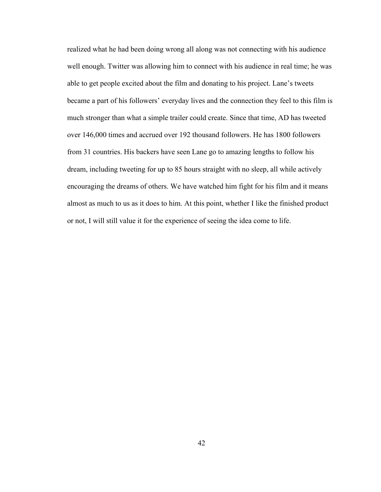realized what he had been doing wrong all along was not connecting with his audience well enough. Twitter was allowing him to connect with his audience in real time; he was able to get people excited about the film and donating to his project. Lane's tweets became a part of his followers' everyday lives and the connection they feel to this film is much stronger than what a simple trailer could create. Since that time, AD has tweeted over 146,000 times and accrued over 192 thousand followers. He has 1800 followers from 31 countries. His backers have seen Lane go to amazing lengths to follow his dream, including tweeting for up to 85 hours straight with no sleep, all while actively encouraging the dreams of others. We have watched him fight for his film and it means almost as much to us as it does to him. At this point, whether I like the finished product or not, I will still value it for the experience of seeing the idea come to life.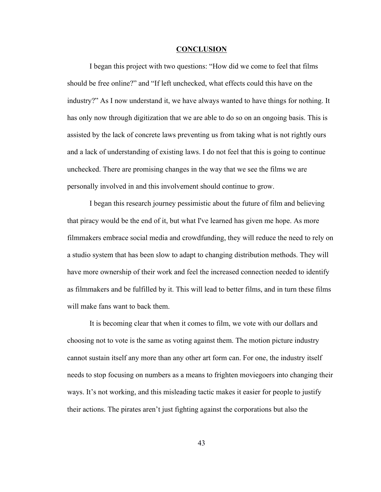#### **CONCLUSION**

I began this project with two questions: "How did we come to feel that films should be free online?" and "If left unchecked, what effects could this have on the industry?" As I now understand it, we have always wanted to have things for nothing. It has only now through digitization that we are able to do so on an ongoing basis. This is assisted by the lack of concrete laws preventing us from taking what is not rightly ours and a lack of understanding of existing laws. I do not feel that this is going to continue unchecked. There are promising changes in the way that we see the films we are personally involved in and this involvement should continue to grow.

I began this research journey pessimistic about the future of film and believing that piracy would be the end of it, but what I've learned has given me hope. As more filmmakers embrace social media and crowdfunding, they will reduce the need to rely on a studio system that has been slow to adapt to changing distribution methods. They will have more ownership of their work and feel the increased connection needed to identify as filmmakers and be fulfilled by it. This will lead to better films, and in turn these films will make fans want to back them.

It is becoming clear that when it comes to film, we vote with our dollars and choosing not to vote is the same as voting against them. The motion picture industry cannot sustain itself any more than any other art form can. For one, the industry itself needs to stop focusing on numbers as a means to frighten moviegoers into changing their ways. It's not working, and this misleading tactic makes it easier for people to justify their actions. The pirates aren't just fighting against the corporations but also the

43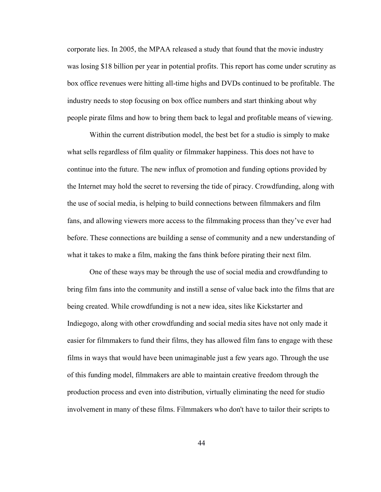corporate lies. In 2005, the MPAA released a study that found that the movie industry was losing \$18 billion per year in potential profits. This report has come under scrutiny as box office revenues were hitting all-time highs and DVDs continued to be profitable. The industry needs to stop focusing on box office numbers and start thinking about why people pirate films and how to bring them back to legal and profitable means of viewing.

Within the current distribution model, the best bet for a studio is simply to make what sells regardless of film quality or filmmaker happiness. This does not have to continue into the future. The new influx of promotion and funding options provided by the Internet may hold the secret to reversing the tide of piracy. Crowdfunding, along with the use of social media, is helping to build connections between filmmakers and film fans, and allowing viewers more access to the filmmaking process than they've ever had before. These connections are building a sense of community and a new understanding of what it takes to make a film, making the fans think before pirating their next film.

One of these ways may be through the use of social media and crowdfunding to bring film fans into the community and instill a sense of value back into the films that are being created. While crowdfunding is not a new idea, sites like Kickstarter and Indiegogo, along with other crowdfunding and social media sites have not only made it easier for filmmakers to fund their films, they has allowed film fans to engage with these films in ways that would have been unimaginable just a few years ago. Through the use of this funding model, filmmakers are able to maintain creative freedom through the production process and even into distribution, virtually eliminating the need for studio involvement in many of these films. Filmmakers who don't have to tailor their scripts to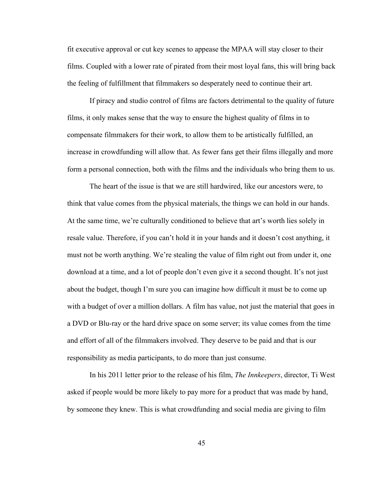fit executive approval or cut key scenes to appease the MPAA will stay closer to their films. Coupled with a lower rate of pirated from their most loyal fans, this will bring back the feeling of fulfillment that filmmakers so desperately need to continue their art.

If piracy and studio control of films are factors detrimental to the quality of future films, it only makes sense that the way to ensure the highest quality of films in to compensate filmmakers for their work, to allow them to be artistically fulfilled, an increase in crowdfunding will allow that. As fewer fans get their films illegally and more form a personal connection, both with the films and the individuals who bring them to us.

The heart of the issue is that we are still hardwired, like our ancestors were, to think that value comes from the physical materials, the things we can hold in our hands. At the same time, we're culturally conditioned to believe that art's worth lies solely in resale value. Therefore, if you can't hold it in your hands and it doesn't cost anything, it must not be worth anything. We're stealing the value of film right out from under it, one download at a time, and a lot of people don't even give it a second thought. It's not just about the budget, though I'm sure you can imagine how difficult it must be to come up with a budget of over a million dollars. A film has value, not just the material that goes in a DVD or Blu-ray or the hard drive space on some server; its value comes from the time and effort of all of the filmmakers involved. They deserve to be paid and that is our responsibility as media participants, to do more than just consume.

In his 2011 letter prior to the release of his film, *The Innkeepers*, director, Ti West asked if people would be more likely to pay more for a product that was made by hand, by someone they knew. This is what crowdfunding and social media are giving to film

45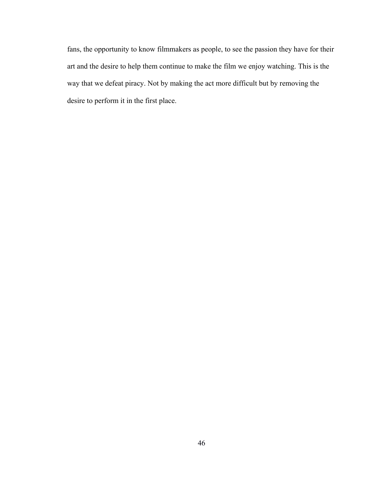fans, the opportunity to know filmmakers as people, to see the passion they have for their art and the desire to help them continue to make the film we enjoy watching. This is the way that we defeat piracy. Not by making the act more difficult but by removing the desire to perform it in the first place.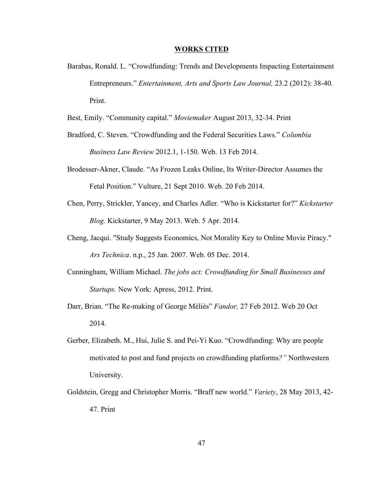#### **WORKS CITED**

Barabas, Ronald. L. "Crowdfunding: Trends and Developments Impacting Entertainment Entrepreneurs." *Entertainment, Arts and Sports Law Journal,* 23.2 (2012): 38-40. Print.

Best, Emily. "Community capital." *Moviemaker* August 2013, 32-34. Print

- Bradford, C. Steven. "Crowdfunding and the Federal Securities Laws." *Columbia Business Law Review* 2012.1, 1-150. Web. 13 Feb 2014.
- Brodesser-Akner, Claude. "As Frozen Leaks Online, Its Writer-Director Assumes the Fetal Position." Vulture, 21 Sept 2010. Web. 20 Feb 2014.
- Chen, Perry, Strickler, Yancey, and Charles Adler. "Who is Kickstarter for?" *Kickstarter Blog.* Kickstarter, 9 May 2013. Web. 5 Apr. 2014.
- Cheng, Jacqui. "Study Suggests Economics, Not Morality Key to Online Movie Piracy." *Ars Technica*. n.p., 25 Jan. 2007. Web. 05 Dec. 2014.
- Cunningham, William Michael. *The jobs act: Crowdfunding for Small Businesses and Startups.* New York: Apress, 2012. Print.
- Darr, Brian. "The Re-making of George Méliès" *Fandor,* 27 Feb 2012. Web 20 Oct 2014.
- Gerber, Elizabeth. M., Hui, Julie S. and Pei-Yi Kuo. "Crowdfunding: Why are people motivated to post and fund projects on crowdfunding platforms*?"* Northwestern University.
- Goldstein, Gregg and Christopher Morris. "Braff new world." *Variety*, 28 May 2013, 42- 47. Print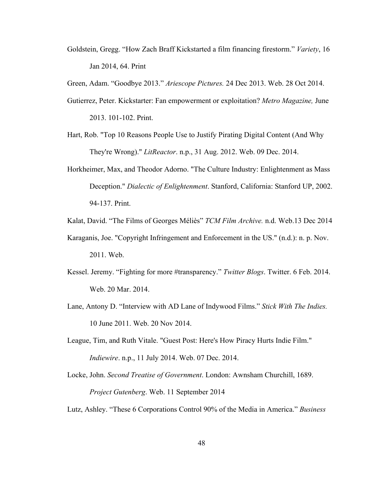Goldstein, Gregg. "How Zach Braff Kickstarted a film financing firestorm." *Variety*, 16 Jan 2014, 64. Print

Green, Adam. "Goodbye 2013." *Ariescope Pictures.* 24 Dec 2013. Web. 28 Oct 2014.

- Gutierrez, Peter. Kickstarter: Fan empowerment or exploitation? *Metro Magazine,* June 2013. 101-102. Print.
- Hart, Rob. "Top 10 Reasons People Use to Justify Pirating Digital Content (And Why They're Wrong)." *LitReactor*. n.p., 31 Aug. 2012. Web. 09 Dec. 2014.
- Horkheimer, Max, and Theodor Adorno. "The Culture Industry: Enlightenment as Mass Deception." *Dialectic of Enlightenment*. Stanford, California: Stanford UP, 2002. 94-137. Print.

Kalat, David. "The Films of Georges Méliès" *TCM Film Archive.* n.d. Web.13 Dec 2014

- Karaganis, Joe. "Copyright Infringement and Enforcement in the US." (n.d.): n. p. Nov. 2011. Web.
- Kessel. Jeremy. "Fighting for more #transparency." *Twitter Blogs*. Twitter. 6 Feb. 2014. Web. 20 Mar. 2014.
- Lane, Antony D. "Interview with AD Lane of Indywood Films." *Stick With The Indies.*  10 June 2011. Web. 20 Nov 2014.
- League, Tim, and Ruth Vitale. "Guest Post: Here's How Piracy Hurts Indie Film." *Indiewire*. n.p., 11 July 2014. Web. 07 Dec. 2014.
- Locke, John. *Second Treatise of Government*. London: Awnsham Churchill, 1689. *Project Gutenberg*. Web. 11 September 2014

Lutz, Ashley. "These 6 Corporations Control 90% of the Media in America." *Business*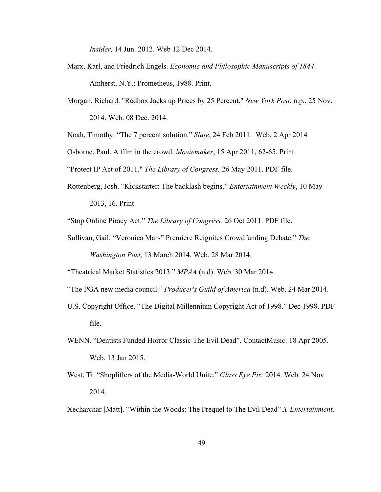*Insider,* 14 Jun. 2012. Web 12 Dec 2014.

- Marx, Karl, and Friedrich Engels. *Economic and Philosophic Manuscripts of 1844*. Amherst, N.Y.: Prometheus, 1988. Print.
- Morgan, Richard. "Redbox Jacks up Prices by 25 Percent." *New York Post*. n.p., 25 Nov. 2014. Web. 08 Dec. 2014.
- Noah, Timothy. "The 7 percent solution." *Slate*, 24 Feb 2011. Web. 2 Apr 2014

Osborne, Paul. A film in the crowd. *Moviemaker*, 15 Apr 2011, 62-65. Print.

"Protect IP Act of 2011." *The Library of Congress.* 26 May 2011. PDF file.

Rottenberg, Josh. "Kickstarter: The backlash begins." *Entertainment Weekly*, 10 May 2013, 16. Print

"Stop Online Piracy Act." *The Library of Congress.* 26 Oct 2011. PDF file.

Sullivan, Gail. "Veronica Mars" Premiere Reignites Crowdfunding Debate." *The Washington Post*, 13 March 2014. Web. 28 Mar 2014.

"Theatrical Market Statistics 2013." *MPAA* (n.d). Web. 30 Mar 2014.

"The PGA new media council." *Producer's Guild of America* (n.d). Web. 24 Mar 2014.

- U.S. Copyright Office. "The Digital Millennium Copyright Act of 1998." Dec 1998. PDF file.
- WENN. "Dentists Funded Horror Classic The Evil Dead". ContactMusic. 18 Apr 2005. Web. 13 Jan 2015.
- West, Ti. "Shoplifters of the Media-World Unite." *Glass Eye Pix.* 2014. Web. 24 Nov 2014.
- Xecharchar [Matt]. "Within the Woods: The Prequel to The Evil Dead" *X-Entertainment*.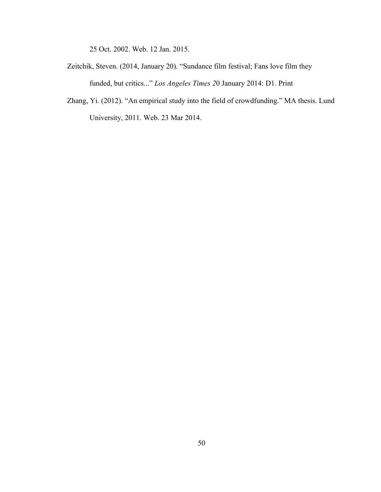25 Oct. 2002. Web. 12 Jan. 2015.

- Zeitchik, Steven. (2014, January 20). "Sundance film festival; Fans love film they funded, but critics..." *Los Angeles Times 2*0 January 2014: D1. Print
- Zhang, Yi. (2012). "An empirical study into the field of crowdfunding." MA thesis. Lund University, 2011. Web. 23 Mar 2014.